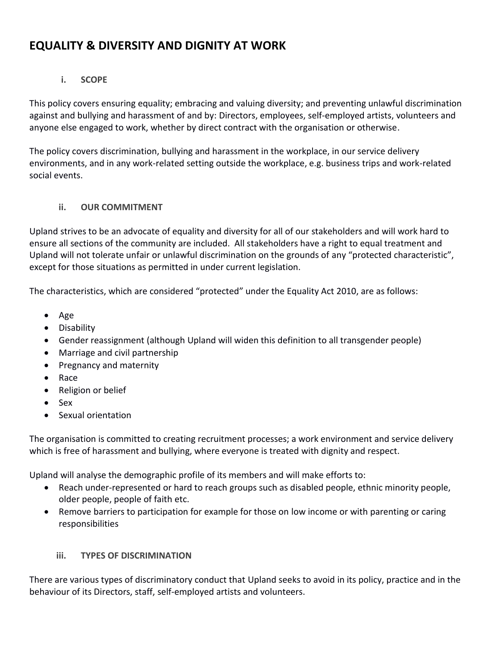# **EQUALITY & DIVERSITY AND DIGNITY AT WORK**

# **i. SCOPE**

This policy covers ensuring equality; embracing and valuing diversity; and preventing unlawful discrimination against and bullying and harassment of and by: Directors, employees, self-employed artists, volunteers and anyone else engaged to work, whether by direct contract with the organisation or otherwise.

The policy covers discrimination, bullying and harassment in the workplace, in our service delivery environments, and in any work-related setting outside the workplace, e.g. business trips and work-related social events.

# **ii. OUR COMMITMENT**

Upland strives to be an advocate of equality and diversity for all of our stakeholders and will work hard to ensure all sections of the community are included. All stakeholders have a right to equal treatment and Upland will not tolerate unfair or unlawful discrimination on the grounds of any "protected characteristic", except for those situations as permitted in under current legislation.

The characteristics, which are considered "protected" under the Equality Act 2010, are as follows:

- $\bullet$  Age
- **•** Disability
- Gender reassignment (although Upland will widen this definition to all transgender people)
- Marriage and civil partnership
- Pregnancy and maternity
- Race
- Religion or belief
- Sex
- Sexual orientation

The organisation is committed to creating recruitment processes; a work environment and service delivery which is free of harassment and bullying, where everyone is treated with dignity and respect.

Upland will analyse the demographic profile of its members and will make efforts to:

- Reach under-represented or hard to reach groups such as disabled people, ethnic minority people, older people, people of faith etc.
- Remove barriers to participation for example for those on low income or with parenting or caring responsibilities

# **iii. TYPES OF DISCRIMINATION**

There are various types of discriminatory conduct that Upland seeks to avoid in its policy, practice and in the behaviour of its Directors, staff, self-employed artists and volunteers.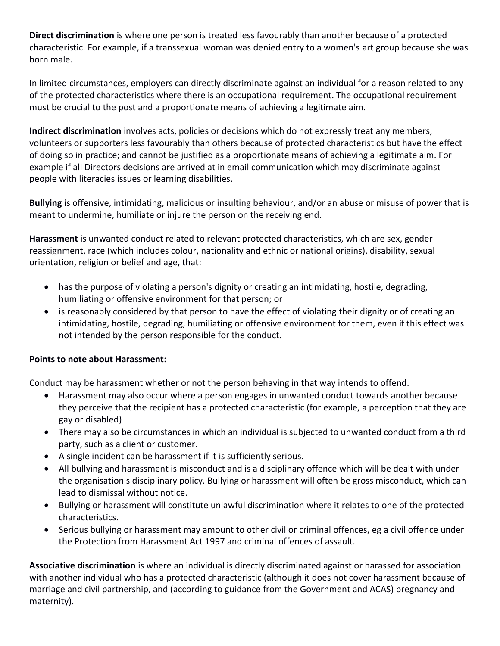**Direct discrimination** is where one person is treated less favourably than another because of a protected characteristic. For example, if a transsexual woman was denied entry to a women's art group because she was born male.

In limited circumstances, employers can directly discriminate against an individual for a reason related to any of the protected characteristics where there is an occupational requirement. The occupational requirement must be crucial to the post and a proportionate means of achieving a legitimate aim.

**Indirect discrimination** involves acts, policies or decisions which do not expressly treat any members, volunteers or supporters less favourably than others because of protected characteristics but have the effect of doing so in practice; and cannot be justified as a proportionate means of achieving a legitimate aim. For example if all Directors decisions are arrived at in email communication which may discriminate against people with literacies issues or learning disabilities.

**Bullying** is offensive, intimidating, malicious or insulting behaviour, and/or an abuse or misuse of power that is meant to undermine, humiliate or injure the person on the receiving end.

**Harassment** is unwanted conduct related to relevant protected characteristics, which are sex, gender reassignment, race (which includes colour, nationality and ethnic or national origins), disability, sexual orientation, religion or belief and age, that:

- has the purpose of violating a person's dignity or creating an intimidating, hostile, degrading, humiliating or offensive environment for that person; or
- is reasonably considered by that person to have the effect of violating their dignity or of creating an intimidating, hostile, degrading, humiliating or offensive environment for them, even if this effect was not intended by the person responsible for the conduct.

# **Points to note about Harassment:**

Conduct may be harassment whether or not the person behaving in that way intends to offend.

- Harassment may also occur where a person engages in unwanted conduct towards another because they perceive that the recipient has a protected characteristic (for example, a perception that they are gay or disabled)
- There may also be circumstances in which an individual is subjected to unwanted conduct from a third party, such as a client or customer.
- A single incident can be harassment if it is sufficiently serious.
- All bullying and harassment is misconduct and is a disciplinary offence which will be dealt with under the organisation's disciplinary policy. Bullying or harassment will often be gross misconduct, which can lead to dismissal without notice.
- Bullying or harassment will constitute unlawful discrimination where it relates to one of the protected characteristics.
- Serious bullying or harassment may amount to other civil or criminal offences, eg a civil offence under the Protection from Harassment Act 1997 and criminal offences of assault.

**Associative discrimination** is where an individual is directly discriminated against or harassed for association with another individual who has a protected characteristic (although it does not cover harassment because of marriage and civil partnership, and (according to guidance from the Government and ACAS) pregnancy and maternity).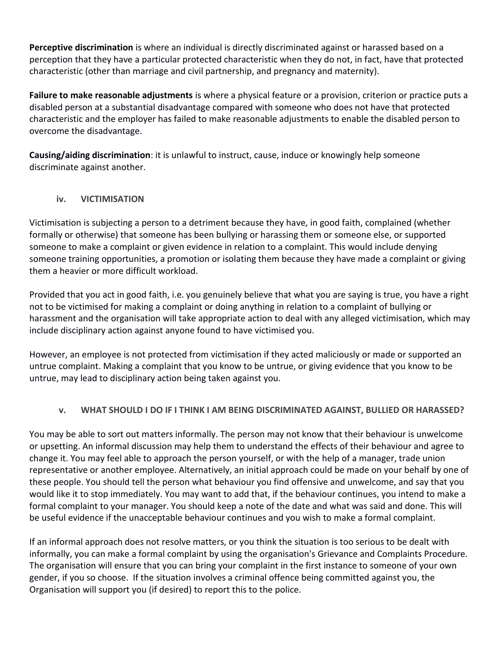**Perceptive discrimination** is where an individual is directly discriminated against or harassed based on a perception that they have a particular protected characteristic when they do not, in fact, have that protected characteristic (other than marriage and civil partnership, and pregnancy and maternity).

**Failure to make reasonable adjustments** is where a physical feature or a provision, criterion or practice puts a disabled person at a substantial disadvantage compared with someone who does not have that protected characteristic and the employer has failed to make reasonable adjustments to enable the disabled person to overcome the disadvantage.

**Causing/aiding discrimination**: it is unlawful to instruct, cause, induce or knowingly help someone discriminate against another.

# **iv. VICTIMISATION**

Victimisation is subjecting a person to a detriment because they have, in good faith, complained (whether formally or otherwise) that someone has been bullying or harassing them or someone else, or supported someone to make a complaint or given evidence in relation to a complaint. This would include denying someone training opportunities, a promotion or isolating them because they have made a complaint or giving them a heavier or more difficult workload.

Provided that you act in good faith, i.e. you genuinely believe that what you are saying is true, you have a right not to be victimised for making a complaint or doing anything in relation to a complaint of bullying or harassment and the organisation will take appropriate action to deal with any alleged victimisation, which may include disciplinary action against anyone found to have victimised you.

However, an employee is not protected from victimisation if they acted maliciously or made or supported an untrue complaint. Making a complaint that you know to be untrue, or giving evidence that you know to be untrue, may lead to disciplinary action being taken against you.

# **v. WHAT SHOULD I DO IF I THINK I AM BEING DISCRIMINATED AGAINST, BULLIED OR HARASSED?**

You may be able to sort out matters informally. The person may not know that their behaviour is unwelcome or upsetting. An informal discussion may help them to understand the effects of their behaviour and agree to change it. You may feel able to approach the person yourself, or with the help of a manager, trade union representative or another employee. Alternatively, an initial approach could be made on your behalf by one of these people. You should tell the person what behaviour you find offensive and unwelcome, and say that you would like it to stop immediately. You may want to add that, if the behaviour continues, you intend to make a formal complaint to your manager. You should keep a note of the date and what was said and done. This will be useful evidence if the unacceptable behaviour continues and you wish to make a formal complaint.

If an informal approach does not resolve matters, or you think the situation is too serious to be dealt with informally, you can make a formal complaint by using the organisation's Grievance and Complaints Procedure. The organisation will ensure that you can bring your complaint in the first instance to someone of your own gender, if you so choose. If the situation involves a criminal offence being committed against you, the Organisation will support you (if desired) to report this to the police.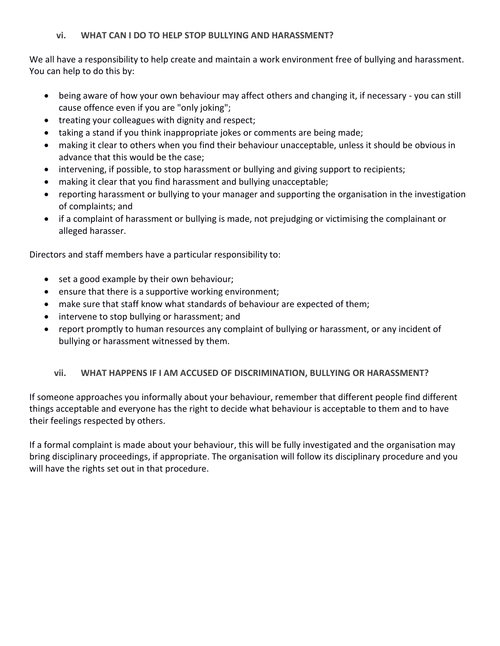# **vi. WHAT CAN I DO TO HELP STOP BULLYING AND HARASSMENT?**

We all have a responsibility to help create and maintain a work environment free of bullying and harassment. You can help to do this by:

- being aware of how your own behaviour may affect others and changing it, if necessary you can still cause offence even if you are "only joking";
- treating your colleagues with dignity and respect;
- taking a stand if you think inappropriate jokes or comments are being made;
- making it clear to others when you find their behaviour unacceptable, unless it should be obvious in advance that this would be the case;
- intervening, if possible, to stop harassment or bullying and giving support to recipients;
- making it clear that you find harassment and bullying unacceptable;
- reporting harassment or bullying to your manager and supporting the organisation in the investigation of complaints; and
- if a complaint of harassment or bullying is made, not prejudging or victimising the complainant or alleged harasser.

Directors and staff members have a particular responsibility to:

- set a good example by their own behaviour;
- ensure that there is a supportive working environment;
- make sure that staff know what standards of behaviour are expected of them;
- intervene to stop bullying or harassment; and
- report promptly to human resources any complaint of bullying or harassment, or any incident of bullying or harassment witnessed by them.

# **vii. WHAT HAPPENS IF I AM ACCUSED OF DISCRIMINATION, BULLYING OR HARASSMENT?**

If someone approaches you informally about your behaviour, remember that different people find different things acceptable and everyone has the right to decide what behaviour is acceptable to them and to have their feelings respected by others.

If a formal complaint is made about your behaviour, this will be fully investigated and the organisation may bring disciplinary proceedings, if appropriate. The organisation will follow its disciplinary procedure and you will have the rights set out in that procedure.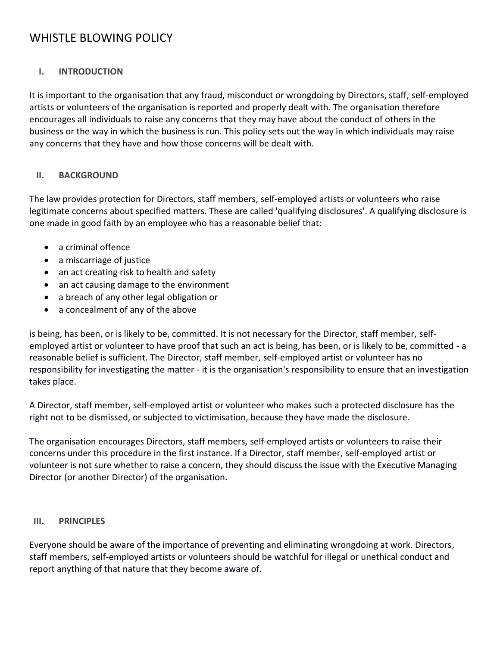# WHISTLE BLOWING POLICY

# **I. INTRODUCTION**

It is important to the organisation that any fraud, misconduct or wrongdoing by Directors, staff, self-employed artists or volunteers of the organisation is reported and properly dealt with. The organisation therefore encourages all individuals to raise any concerns that they may have about the conduct of others in the business or the way in which the business is run. This policy sets out the way in which individuals may raise any concerns that they have and how those concerns will be dealt with.

#### **II. BACKGROUND**

The law provides protection for Directors, staff members, self-employed artists or volunteers who raise legitimate concerns about specified matters. These are called 'qualifying disclosures'. A qualifying disclosure is one made in good faith by an employee who has a reasonable belief that:

- a criminal offence
- a miscarriage of justice
- an act creating risk to health and safety
- an act causing damage to the environment
- a breach of any other legal obligation or
- a concealment of any of the above

is being, has been, or is likely to be, committed. It is not necessary for the Director, staff member, selfemployed artist or volunteer to have proof that such an act is being, has been, or is likely to be, committed - a reasonable belief is sufficient. The Director, staff member, self-employed artist or volunteer has no responsibility for investigating the matter - it is the organisation's responsibility to ensure that an investigation takes place.

A Director, staff member, self-employed artist or volunteer who makes such a protected disclosure has the right not to be dismissed, or subjected to victimisation, because they have made the disclosure.

The organisation encourages Directors, staff members, self-employed artists or volunteers to raise their concerns under this procedure in the first instance. If a Director, staff member, self-employed artist or volunteer is not sure whether to raise a concern, they should discuss the issue with the Executive Managing Director (or another Director) of the organisation.

#### **III. PRINCIPLES**

Everyone should be aware of the importance of preventing and eliminating wrongdoing at work. Directors, staff members, self-employed artists or volunteers should be watchful for illegal or unethical conduct and report anything of that nature that they become aware of.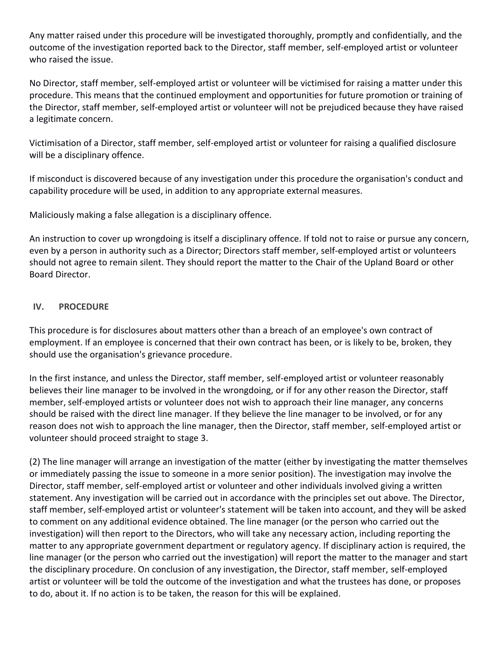Any matter raised under this procedure will be investigated thoroughly, promptly and confidentially, and the outcome of the investigation reported back to the Director, staff member, self-employed artist or volunteer who raised the issue.

No Director, staff member, self-employed artist or volunteer will be victimised for raising a matter under this procedure. This means that the continued employment and opportunities for future promotion or training of the Director, staff member, self-employed artist or volunteer will not be prejudiced because they have raised a legitimate concern.

Victimisation of a Director, staff member, self-employed artist or volunteer for raising a qualified disclosure will be a disciplinary offence.

If misconduct is discovered because of any investigation under this procedure the organisation's conduct and capability procedure will be used, in addition to any appropriate external measures.

Maliciously making a false allegation is a disciplinary offence.

An instruction to cover up wrongdoing is itself a disciplinary offence. If told not to raise or pursue any concern, even by a person in authority such as a Director; Directors staff member, self-employed artist or volunteers should not agree to remain silent. They should report the matter to the Chair of the Upland Board or other Board Director.

#### **IV. PROCEDURE**

This procedure is for disclosures about matters other than a breach of an employee's own contract of employment. If an employee is concerned that their own contract has been, or is likely to be, broken, they should use the organisation's grievance procedure.

In the first instance, and unless the Director, staff member, self-employed artist or volunteer reasonably believes their line manager to be involved in the wrongdoing, or if for any other reason the Director, staff member, self-employed artists or volunteer does not wish to approach their line manager, any concerns should be raised with the direct line manager. If they believe the line manager to be involved, or for any reason does not wish to approach the line manager, then the Director, staff member, self-employed artist or volunteer should proceed straight to stage 3.

(2) The line manager will arrange an investigation of the matter (either by investigating the matter themselves or immediately passing the issue to someone in a more senior position). The investigation may involve the Director, staff member, self-employed artist or volunteer and other individuals involved giving a written statement. Any investigation will be carried out in accordance with the principles set out above. The Director, staff member, self-employed artist or volunteer's statement will be taken into account, and they will be asked to comment on any additional evidence obtained. The line manager (or the person who carried out the investigation) will then report to the Directors, who will take any necessary action, including reporting the matter to any appropriate government department or regulatory agency. If disciplinary action is required, the line manager (or the person who carried out the investigation) will report the matter to the manager and start the disciplinary procedure. On conclusion of any investigation, the Director, staff member, self-employed artist or volunteer will be told the outcome of the investigation and what the trustees has done, or proposes to do, about it. If no action is to be taken, the reason for this will be explained.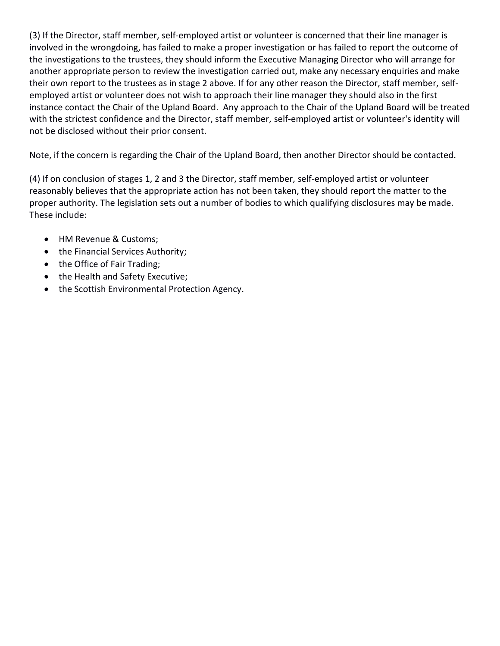(3) If the Director, staff member, self-employed artist or volunteer is concerned that their line manager is involved in the wrongdoing, has failed to make a proper investigation or has failed to report the outcome of the investigations to the trustees, they should inform the Executive Managing Director who will arrange for another appropriate person to review the investigation carried out, make any necessary enquiries and make their own report to the trustees as in stage 2 above. If for any other reason the Director, staff member, selfemployed artist or volunteer does not wish to approach their line manager they should also in the first instance contact the Chair of the Upland Board. Any approach to the Chair of the Upland Board will be treated with the strictest confidence and the Director, staff member, self-employed artist or volunteer's identity will not be disclosed without their prior consent.

Note, if the concern is regarding the Chair of the Upland Board, then another Director should be contacted.

(4) If on conclusion of stages 1, 2 and 3 the Director, staff member, self-employed artist or volunteer reasonably believes that the appropriate action has not been taken, they should report the matter to the proper authority. The legislation sets out a number of bodies to which qualifying disclosures may be made. These include:

- HM Revenue & Customs;
- the Financial Services Authority;
- the Office of Fair Trading;
- the Health and Safety Executive;
- the Scottish Environmental Protection Agency.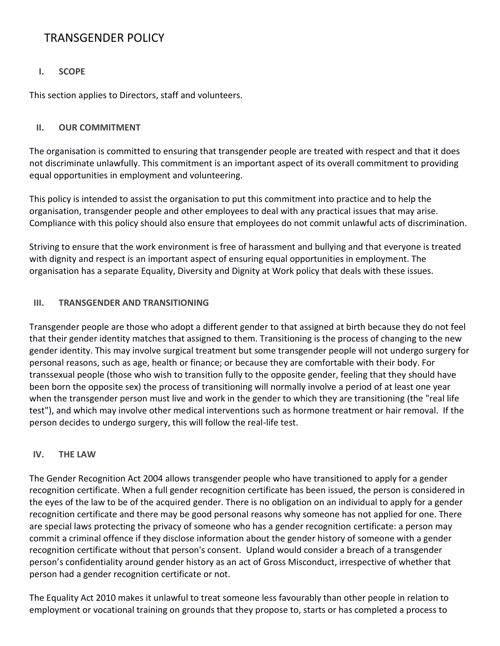# TRANSGENDER POLICY

# **I. SCOPE**

This section applies to Directors, staff and volunteers.

#### **II. OUR COMMITMENT**

The organisation is committed to ensuring that transgender people are treated with respect and that it does not discriminate unlawfully. This commitment is an important aspect of its overall commitment to providing equal opportunities in employment and volunteering.

This policy is intended to assist the organisation to put this commitment into practice and to help the organisation, transgender people and other employees to deal with any practical issues that may arise. Compliance with this policy should also ensure that employees do not commit unlawful acts of discrimination.

Striving to ensure that the work environment is free of harassment and bullying and that everyone is treated with dignity and respect is an important aspect of ensuring equal opportunities in employment. The organisation has a separate Equality, Diversity and Dignity at Work policy that deals with these issues.

# **III. TRANSGENDER AND TRANSITIONING**

Transgender people are those who adopt a different gender to that assigned at birth because they do not feel that their gender identity matches that assigned to them. Transitioning is the process of changing to the new gender identity. This may involve surgical treatment but some transgender people will not undergo surgery for personal reasons, such as age, health or finance; or because they are comfortable with their body. For transsexual people (those who wish to transition fully to the opposite gender, feeling that they should have been born the opposite sex) the process of transitioning will normally involve a period of at least one year when the transgender person must live and work in the gender to which they are transitioning (the "real life test"), and which may involve other medical interventions such as hormone treatment or hair removal. If the person decides to undergo surgery, this will follow the real-life test.

#### **IV. THE LAW**

The Gender Recognition Act 2004 allows transgender people who have transitioned to apply for a gender recognition certificate. When a full gender recognition certificate has been issued, the person is considered in the eyes of the law to be of the acquired gender. There is no obligation on an individual to apply for a gender recognition certificate and there may be good personal reasons why someone has not applied for one. There are special laws protecting the privacy of someone who has a gender recognition certificate: a person may commit a criminal offence if they disclose information about the gender history of someone with a gender recognition certificate without that person's consent. Upland would consider a breach of a transgender person's confidentiality around gender history as an act of Gross Misconduct, irrespective of whether that person had a gender recognition certificate or not.

The Equality Act 2010 makes it unlawful to treat someone less favourably than other people in relation to employment or vocational training on grounds that they propose to, starts or has completed a process to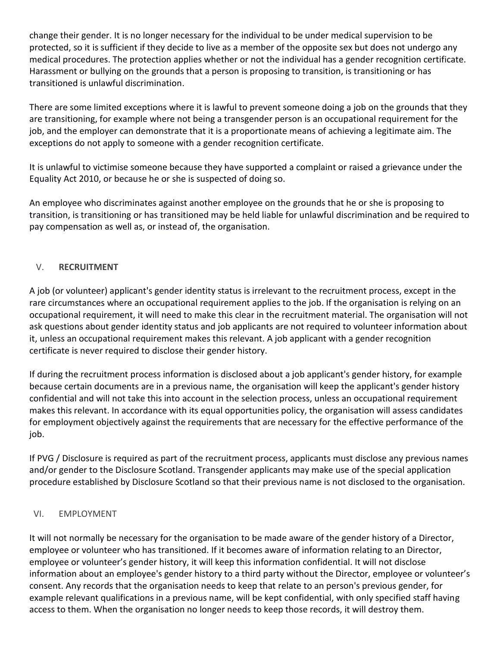change their gender. It is no longer necessary for the individual to be under medical supervision to be protected, so it is sufficient if they decide to live as a member of the opposite sex but does not undergo any medical procedures. The protection applies whether or not the individual has a gender recognition certificate. Harassment or bullying on the grounds that a person is proposing to transition, is transitioning or has transitioned is unlawful discrimination.

There are some limited exceptions where it is lawful to prevent someone doing a job on the grounds that they are transitioning, for example where not being a transgender person is an occupational requirement for the job, and the employer can demonstrate that it is a proportionate means of achieving a legitimate aim. The exceptions do not apply to someone with a gender recognition certificate.

It is unlawful to victimise someone because they have supported a complaint or raised a grievance under the Equality Act 2010, or because he or she is suspected of doing so.

An employee who discriminates against another employee on the grounds that he or she is proposing to transition, is transitioning or has transitioned may be held liable for unlawful discrimination and be required to pay compensation as well as, or instead of, the organisation.

# V. **RECRUITMENT**

A job (or volunteer) applicant's gender identity status is irrelevant to the recruitment process, except in the rare circumstances where an occupational requirement applies to the job. If the organisation is relying on an occupational requirement, it will need to make this clear in the recruitment material. The organisation will not ask questions about gender identity status and job applicants are not required to volunteer information about it, unless an occupational requirement makes this relevant. A job applicant with a gender recognition certificate is never required to disclose their gender history.

If during the recruitment process information is disclosed about a job applicant's gender history, for example because certain documents are in a previous name, the organisation will keep the applicant's gender history confidential and will not take this into account in the selection process, unless an occupational requirement makes this relevant. In accordance with its equal opportunities policy, the organisation will assess candidates for employment objectively against the requirements that are necessary for the effective performance of the job.

If PVG / Disclosure is required as part of the recruitment process, applicants must disclose any previous names and/or gender to the Disclosure Scotland. Transgender applicants may make use of the special application procedure established by Disclosure Scotland so that their previous name is not disclosed to the organisation.

# VI. EMPLOYMENT

It will not normally be necessary for the organisation to be made aware of the gender history of a Director, employee or volunteer who has transitioned. If it becomes aware of information relating to an Director, employee or volunteer's gender history, it will keep this information confidential. It will not disclose information about an employee's gender history to a third party without the Director, employee or volunteer's consent. Any records that the organisation needs to keep that relate to an person's previous gender, for example relevant qualifications in a previous name, will be kept confidential, with only specified staff having access to them. When the organisation no longer needs to keep those records, it will destroy them.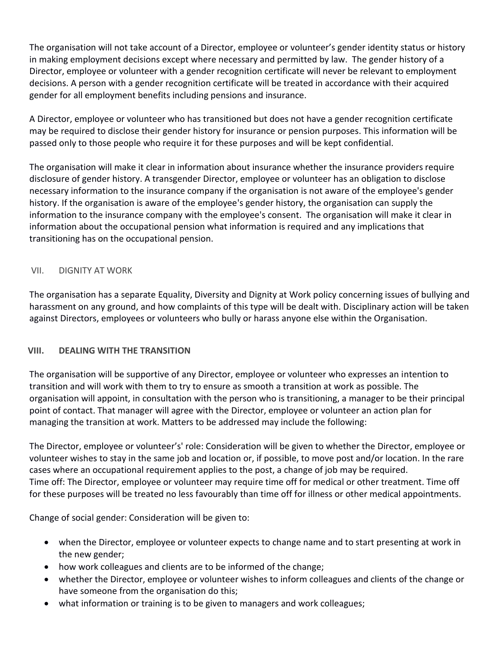The organisation will not take account of a Director, employee or volunteer's gender identity status or history in making employment decisions except where necessary and permitted by law. The gender history of a Director, employee or volunteer with a gender recognition certificate will never be relevant to employment decisions. A person with a gender recognition certificate will be treated in accordance with their acquired gender for all employment benefits including pensions and insurance.

A Director, employee or volunteer who has transitioned but does not have a gender recognition certificate may be required to disclose their gender history for insurance or pension purposes. This information will be passed only to those people who require it for these purposes and will be kept confidential.

The organisation will make it clear in information about insurance whether the insurance providers require disclosure of gender history. A transgender Director, employee or volunteer has an obligation to disclose necessary information to the insurance company if the organisation is not aware of the employee's gender history. If the organisation is aware of the employee's gender history, the organisation can supply the information to the insurance company with the employee's consent. The organisation will make it clear in information about the occupational pension what information is required and any implications that transitioning has on the occupational pension.

# VII. DIGNITY AT WORK

The organisation has a separate Equality, Diversity and Dignity at Work policy concerning issues of bullying and harassment on any ground, and how complaints of this type will be dealt with. Disciplinary action will be taken against Directors, employees or volunteers who bully or harass anyone else within the Organisation.

# **VIII. DEALING WITH THE TRANSITION**

The organisation will be supportive of any Director, employee or volunteer who expresses an intention to transition and will work with them to try to ensure as smooth a transition at work as possible. The organisation will appoint, in consultation with the person who is transitioning, a manager to be their principal point of contact. That manager will agree with the Director, employee or volunteer an action plan for managing the transition at work. Matters to be addressed may include the following:

The Director, employee or volunteer's' role: Consideration will be given to whether the Director, employee or volunteer wishes to stay in the same job and location or, if possible, to move post and/or location. In the rare cases where an occupational requirement applies to the post, a change of job may be required. Time off: The Director, employee or volunteer may require time off for medical or other treatment. Time off for these purposes will be treated no less favourably than time off for illness or other medical appointments.

Change of social gender: Consideration will be given to:

- when the Director, employee or volunteer expects to change name and to start presenting at work in the new gender;
- how work colleagues and clients are to be informed of the change;
- whether the Director, employee or volunteer wishes to inform colleagues and clients of the change or have someone from the organisation do this;
- what information or training is to be given to managers and work colleagues;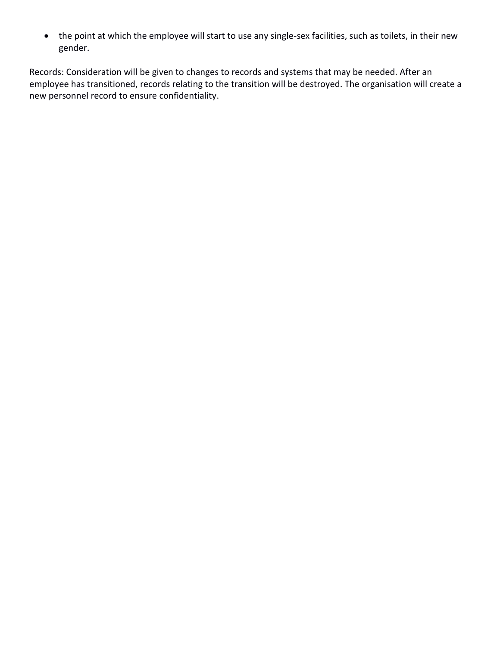the point at which the employee will start to use any single-sex facilities, such as toilets, in their new gender.

Records: Consideration will be given to changes to records and systems that may be needed. After an employee has transitioned, records relating to the transition will be destroyed. The organisation will create a new personnel record to ensure confidentiality.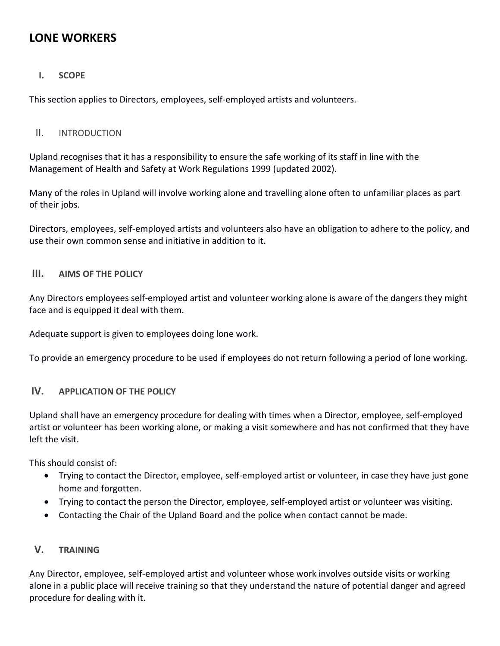# **LONE WORKERS**

# **I. SCOPE**

This section applies to Directors, employees, self-employed artists and volunteers.

#### II. INTRODUCTION

Upland recognises that it has a responsibility to ensure the safe working of its staff in line with the Management of Health and Safety at Work Regulations 1999 (updated 2002).

Many of the roles in Upland will involve working alone and travelling alone often to unfamiliar places as part of their jobs.

Directors, employees, self-employed artists and volunteers also have an obligation to adhere to the policy, and use their own common sense and initiative in addition to it.

#### **III. AIMS OF THE POLICY**

Any Directors employees self-employed artist and volunteer working alone is aware of the dangers they might face and is equipped it deal with them.

Adequate support is given to employees doing lone work.

To provide an emergency procedure to be used if employees do not return following a period of lone working.

# **IV. APPLICATION OF THE POLICY**

Upland shall have an emergency procedure for dealing with times when a Director, employee, self-employed artist or volunteer has been working alone, or making a visit somewhere and has not confirmed that they have left the visit.

This should consist of:

- Trying to contact the Director, employee, self-employed artist or volunteer, in case they have just gone home and forgotten.
- Trying to contact the person the Director, employee, self-employed artist or volunteer was visiting.
- Contacting the Chair of the Upland Board and the police when contact cannot be made.

# **V. TRAINING**

Any Director, employee, self-employed artist and volunteer whose work involves outside visits or working alone in a public place will receive training so that they understand the nature of potential danger and agreed procedure for dealing with it.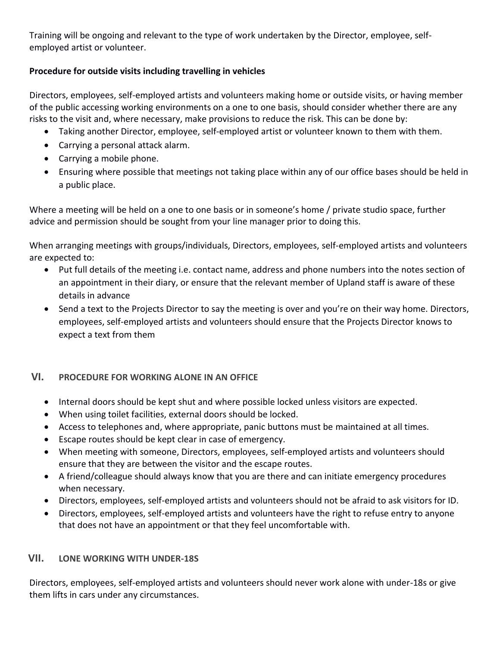Training will be ongoing and relevant to the type of work undertaken by the Director, employee, selfemployed artist or volunteer.

# **Procedure for outside visits including travelling in vehicles**

Directors, employees, self-employed artists and volunteers making home or outside visits, or having member of the public accessing working environments on a one to one basis, should consider whether there are any risks to the visit and, where necessary, make provisions to reduce the risk. This can be done by:

- Taking another Director, employee, self-employed artist or volunteer known to them with them.
- Carrying a personal attack alarm.
- Carrying a mobile phone.
- Ensuring where possible that meetings not taking place within any of our office bases should be held in a public place.

Where a meeting will be held on a one to one basis or in someone's home / private studio space, further advice and permission should be sought from your line manager prior to doing this.

When arranging meetings with groups/individuals, Directors, employees, self-employed artists and volunteers are expected to:

- Put full details of the meeting i.e. contact name, address and phone numbers into the notes section of an appointment in their diary, or ensure that the relevant member of Upland staff is aware of these details in advance
- Send a text to the Projects Director to say the meeting is over and you're on their way home. Directors, employees, self-employed artists and volunteers should ensure that the Projects Director knows to expect a text from them

# **VI. PROCEDURE FOR WORKING ALONE IN AN OFFICE**

- Internal doors should be kept shut and where possible locked unless visitors are expected.
- When using toilet facilities, external doors should be locked.
- Access to telephones and, where appropriate, panic buttons must be maintained at all times.
- Escape routes should be kept clear in case of emergency.
- When meeting with someone, Directors, employees, self-employed artists and volunteers should ensure that they are between the visitor and the escape routes.
- A friend/colleague should always know that you are there and can initiate emergency procedures when necessary.
- Directors, employees, self-employed artists and volunteers should not be afraid to ask visitors for ID.
- Directors, employees, self-employed artists and volunteers have the right to refuse entry to anyone that does not have an appointment or that they feel uncomfortable with.

# **VII. LONE WORKING WITH UNDER-18S**

Directors, employees, self-employed artists and volunteers should never work alone with under-18s or give them lifts in cars under any circumstances.